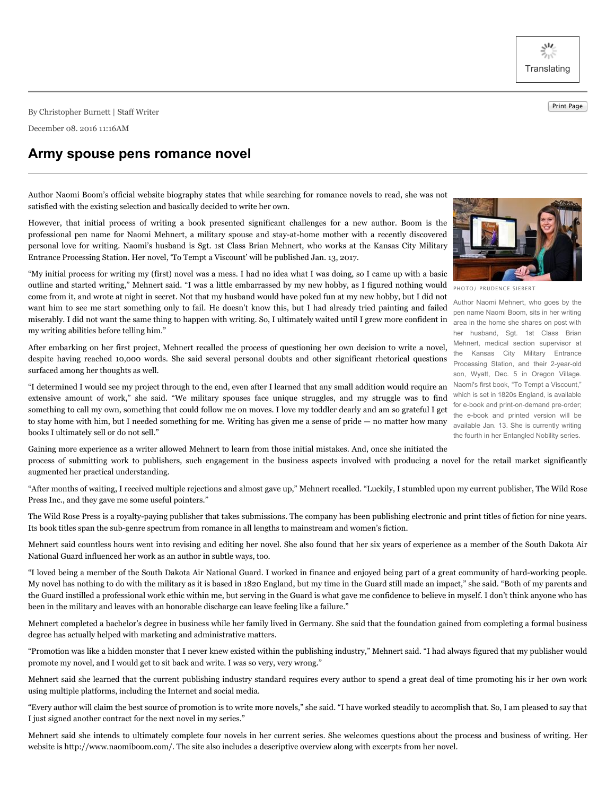ジット **Translating** 

Print Page By Christopher Burnett <sup>|</sup> Staff Writer

December 08. 2016 11:16AM

## **Army spouse pens romance novel**

PHOTO/ PRUDENCE SIEBERT

Author Naomi Mehnert, who goes by the pen name Naomi Boom, sits in her writing her husband, Sgt. 1st Class Brian Mehnert, medical section supervisor at the Kansas City Military Entrance Processing Station, and their 2-year-old son, Wyatt, Dec. 5 in Oregon Village. Naomi's first book, "To Tempt a Viscount," which is set in 1820s England, is available for e-book and print-on-demand pre-order; the e-book and printed version will be available Jan. 13. She is currently writing the fourth in her Entangled Nobility series.

Author Naomi Boom's official website biography states that while searching for romance novels to read, she was not satisfied with the existing selection and basically decided to write her own.

However, that initial process of writing a book presented significant challenges for a new author. Boom is the professional pen name for Naomi Mehnert, a military spouse and stay-at-home mother with a recently discovered personal love for writing. Naomi's husband is Sgt. 1st Class Brian Mehnert, who works at the Kansas City Military Entrance Processing Station. Her novel, 'To Tempt a Viscount' will be published Jan. 13, 2017.

miserably. I did not want the same thing to happen with writing. So, I ultimately waited until I grew more confident in area in the home she shares on post with "My initial process for writing my (first) novel was a mess. I had no idea what I was doing, so I came up with a basic outline and started writing," Mehnert said. "I was a little embarrassed by my new hobby, as I figured nothing would come from it, and wrote at night in secret. Not that my husband would have poked fun at my new hobby, but I did not want him to see me start something only to fail. He doesn't know this, but I had already tried painting and failed my writing abilities before telling him."

After embarking on her first project, Mehnert recalled the process of questioning her own decision to write a novel, despite having reached 10,000 words. She said several personal doubts and other significant rhetorical questions surfaced among her thoughts as well.

"I determined I would see my project through to the end, even after I learned that any small addition would require an extensive amount of work," she said. "We military spouses face unique struggles, and my struggle was to find something to call my own, something that could follow me on moves. I love my toddler dearly and am so grateful I get to stay home with him, but I needed something for me. Writing has given me a sense of pride — no matter how many books I ultimately sell or do not sell."

Gaining more experience as a writer allowed Mehnert to learn from those initial mistakes. And, once she initiated the process of submitting work to publishers, such engagement in the business aspects involved with producing a novel for the retail market significantly augmented her practical understanding.

"After months of waiting, I received multiple rejections and almost gave up," Mehnert recalled. "Luckily, I stumbled upon my current publisher, The Wild Rose Press Inc., and they gave me some useful pointers."

The Wild Rose Press is a royalty-paying publisher that takes submissions. The company has been publishing electronic and print titles of fiction for nine years. Its book titles span the sub-genre spectrum from romance in all lengths to mainstream and women's fiction.

Mehnert said countless hours went into revising and editing her novel. She also found that her six years of experience as a member of the South Dakota Air National Guard influenced her work as an author in subtle ways, too.

"I loved being a member of the South Dakota Air National Guard. I worked in finance and enjoyed being part of a great community of hard-working people. My novel has nothing to do with the military as it is based in 1820 England, but my time in the Guard still made an impact," she said. "Both of my parents and the Guard instilled a professional work ethic within me, but serving in the Guard is what gave me confidence to believe in myself. I don't think anyone who has been in the military and leaves with an honorable discharge can leave feeling like a failure."

Mehnert completed a bachelor's degree in business while her family lived in Germany. She said that the foundation gained from completing a formal business degree has actually helped with marketing and administrative matters.

"Promotion was like a hidden monster that I never knew existed within the publishing industry," Mehnert said. "I had always figured that my publisher would promote my novel, and I would get to sit back and write. I was so very, very wrong."

Mehnert said she learned that the current publishing industry standard requires every author to spend a great deal of time promoting his ir her own work using multiple platforms, including the Internet and social media.

"Every author will claim the best source of promotion is to write more novels," she said. "I have worked steadily to accomplish that. So, I am pleased to say that I just signed another contract for the next novel in my series."

Mehnert said she intends to ultimately complete four novels in her current series. She welcomes questions about the process and business of writing. Her website is http://www.naomiboom.com/. The site also includes a descriptive overview along with excerpts from her novel.